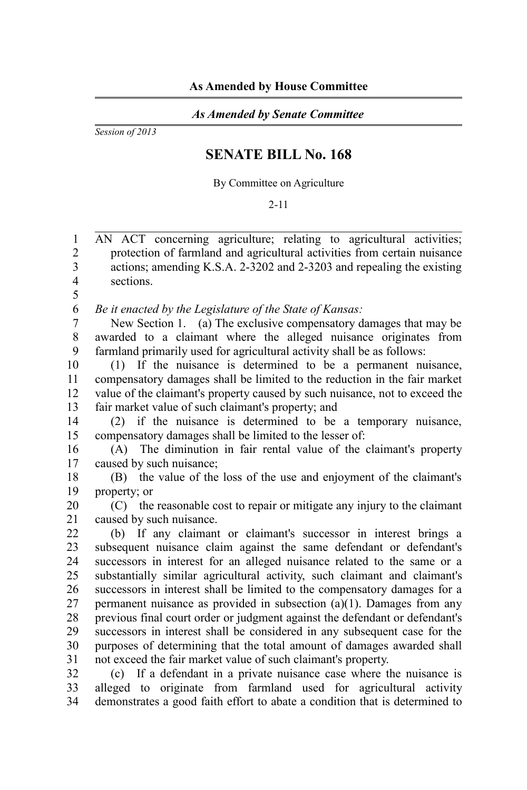## *As Amended by Senate Committee*

*Session of 2013*

## **SENATE BILL No. 168**

By Committee on Agriculture

## 2-11

AN ACT concerning agriculture; relating to agricultural activities; protection of farmland and agricultural activities from certain nuisance actions; amending K.S.A. 2-3202 and 2-3203 and repealing the existing sections. 1 2 3 4

5

*Be it enacted by the Legislature of the State of Kansas:* 6

New Section 1. (a) The exclusive compensatory damages that may be awarded to a claimant where the alleged nuisance originates from farmland primarily used for agricultural activity shall be as follows: 7 8  $\mathbf{Q}$ 

(1) If the nuisance is determined to be a permanent nuisance, compensatory damages shall be limited to the reduction in the fair market value of the claimant's property caused by such nuisance, not to exceed the fair market value of such claimant's property; and 10 11 12 13

(2) if the nuisance is determined to be a temporary nuisance, compensatory damages shall be limited to the lesser of: 14 15

(A) The diminution in fair rental value of the claimant's property caused by such nuisance; 16 17

(B) the value of the loss of the use and enjoyment of the claimant's property; or 18 19

(C) the reasonable cost to repair or mitigate any injury to the claimant caused by such nuisance. 20 21

(b) If any claimant or claimant's successor in interest brings a subsequent nuisance claim against the same defendant or defendant's successors in interest for an alleged nuisance related to the same or a substantially similar agricultural activity, such claimant and claimant's successors in interest shall be limited to the compensatory damages for a permanent nuisance as provided in subsection (a)(1). Damages from any previous final court order or judgment against the defendant or defendant's successors in interest shall be considered in any subsequent case for the purposes of determining that the total amount of damages awarded shall not exceed the fair market value of such claimant's property. 22 23 24 25 26 27 28 29 30 31

(c) If a defendant in a private nuisance case where the nuisance is alleged to originate from farmland used for agricultural activity demonstrates a good faith effort to abate a condition that is determined to 32 33 34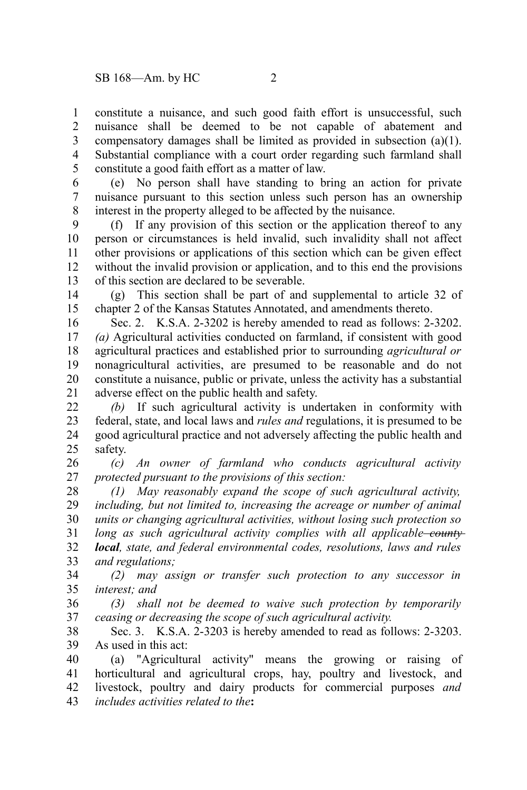constitute a nuisance, and such good faith effort is unsuccessful, such nuisance shall be deemed to be not capable of abatement and compensatory damages shall be limited as provided in subsection (a)(1). Substantial compliance with a court order regarding such farmland shall constitute a good faith effort as a matter of law. 1 2 3 4 5

(e) No person shall have standing to bring an action for private nuisance pursuant to this section unless such person has an ownership interest in the property alleged to be affected by the nuisance. 6 7 8

(f) If any provision of this section or the application thereof to any person or circumstances is held invalid, such invalidity shall not affect other provisions or applications of this section which can be given effect without the invalid provision or application, and to this end the provisions of this section are declared to be severable. 9 10 11 12 13

(g) This section shall be part of and supplemental to article 32 of chapter 2 of the Kansas Statutes Annotated, and amendments thereto. 14 15

Sec. 2. K.S.A. 2-3202 is hereby amended to read as follows: 2-3202. *(a)* Agricultural activities conducted on farmland, if consistent with good agricultural practices and established prior to surrounding *agricultural or* nonagricultural activities, are presumed to be reasonable and do not constitute a nuisance, public or private, unless the activity has a substantial adverse effect on the public health and safety. 16 17 18 19 20 21

*(b)* If such agricultural activity is undertaken in conformity with federal, state, and local laws and *rules and* regulations, it is presumed to be good agricultural practice and not adversely affecting the public health and safety. 22 23 24 25

*(c) An owner of farmland who conducts agricultural activity protected pursuant to the provisions of this section:* 26 27

*(1) May reasonably expand the scope of such agricultural activity, including, but not limited to, increasing the acreage or number of animal units or changing agricultural activities, without losing such protection so long as such agricultural activity complies with all applicable county local, state, and federal environmental codes, resolutions, laws and rules and regulations;* 28 29 30 31 32 33

*(2) may assign or transfer such protection to any successor in interest; and* 34 35

*(3) shall not be deemed to waive such protection by temporarily ceasing or decreasing the scope of such agricultural activity.* 36 37

Sec. 3. K.S.A. 2-3203 is hereby amended to read as follows: 2-3203. As used in this act: 38 39

(a) "Agricultural activity" means the growing or raising of horticultural and agricultural crops, hay, poultry and livestock, and livestock, poultry and dairy products for commercial purposes *and includes activities related to the***:**  40 41 42 43